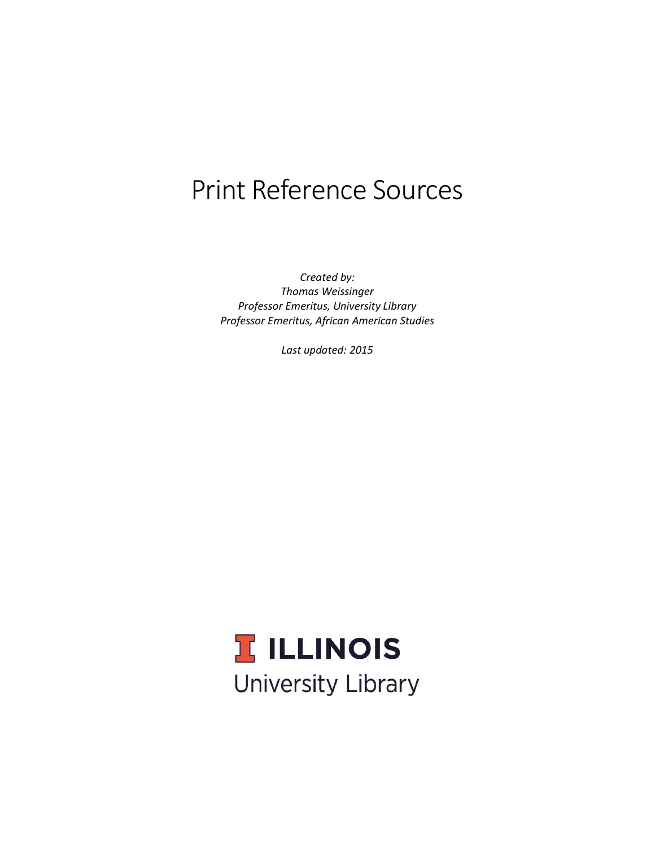# Print Reference Sources

*Created by: Thomas Weissinger Professor Emeritus, University Library Professor Emeritus, African American Studies*

*Last updated: 2015*

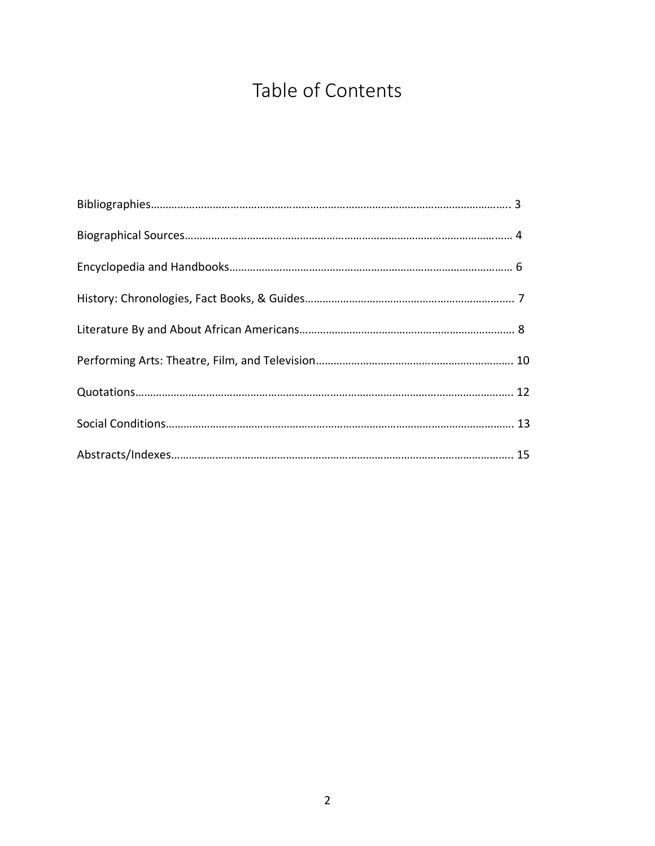# Table of Contents

<span id="page-1-0"></span>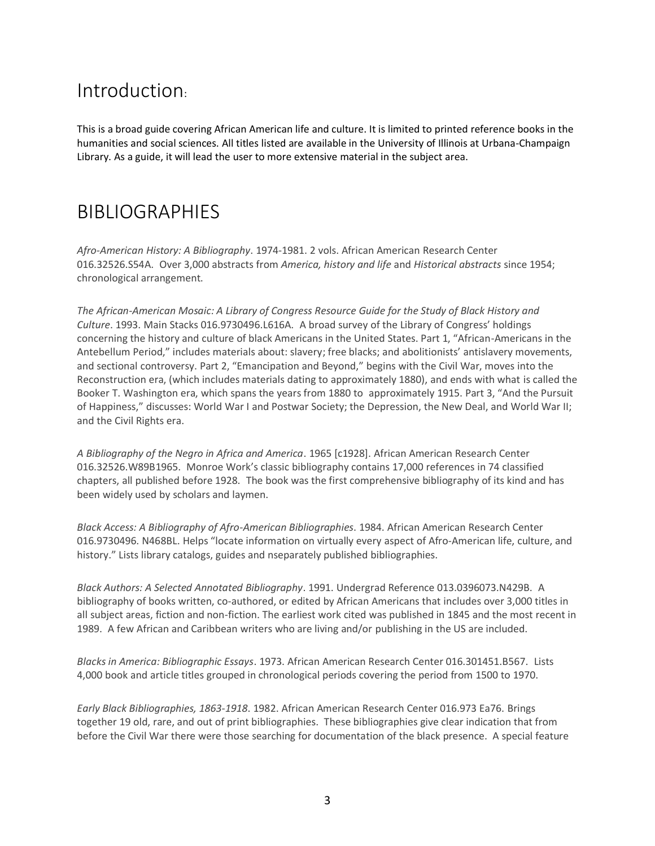### <span id="page-2-0"></span>Introduction:

This is a broad guide covering African American life and culture. It is limited to printed reference books in the humanities and social sciences. All titles listed are available in the University of Illinois at Urbana-Champaign Library. As a guide, it will lead the user to more extensive material in the subject area.

### BIBLIOGRAPHIES

*Afro-American History: A Bibliography*. 1974-1981. 2 vols. African American Research Center 016.32526.S54A. Over 3,000 abstracts from *America, history and life* and *Historical abstracts* since 1954; chronological arrangement.

*The African-American Mosaic: A Library of Congress Resource Guide for the Study of Black History and Culture*. 1993. Main Stacks 016.9730496.L616A. A broad survey of the Library of Congress' holdings concerning the history and culture of black Americans in the United States. Part 1, "African-Americans in the Antebellum Period," includes materials about: slavery; free blacks; and abolitionists' antislavery movements, and sectional controversy. Part 2, "Emancipation and Beyond," begins with the Civil War, moves into the Reconstruction era, (which includes materials dating to approximately 1880), and ends with what is called the Booker T. Washington era, which spans the years from 1880 to approximately 1915. Part 3, "And the Pursuit of Happiness," discusses: World War I and Postwar Society; the Depression, the New Deal, and World War II; and the Civil Rights era.

*A Bibliography of the Negro in Africa and America*. 1965 [c1928]. African American Research Center 016.32526.W89B1965. Monroe Work's classic bibliography contains 17,000 references in 74 classified chapters, all published before 1928. The book was the first comprehensive bibliography of its kind and has been widely used by scholars and laymen.

*Black Access: A Bibliography of Afro-American Bibliographies*. 1984. African American Research Center 016.9730496. N468BL. Helps "locate information on virtually every aspect of Afro-American life, culture, and history." Lists library catalogs, guides and nseparately published bibliographies.

*Black Authors: A Selected Annotated Bibliography*. 1991. Undergrad Reference 013.0396073.N429B. A bibliography of books written, co-authored, or edited by African Americans that includes over 3,000 titles in all subject areas, fiction and non-fiction. The earliest work cited was published in 1845 and the most recent in 1989. A few African and Caribbean writers who are living and/or publishing in the US are included.

*Blacks in America: Bibliographic Essays*. 1973. African American Research Center 016.301451.B567. Lists 4,000 book and article titles grouped in chronological periods covering the period from 1500 to 1970.

*Early Black Bibliographies, 1863-1918*. 1982. African American Research Center 016.973 Ea76. Brings together 19 old, rare, and out of print bibliographies. These bibliographies give clear indication that from before the Civil War there were those searching for documentation of the black presence. A special feature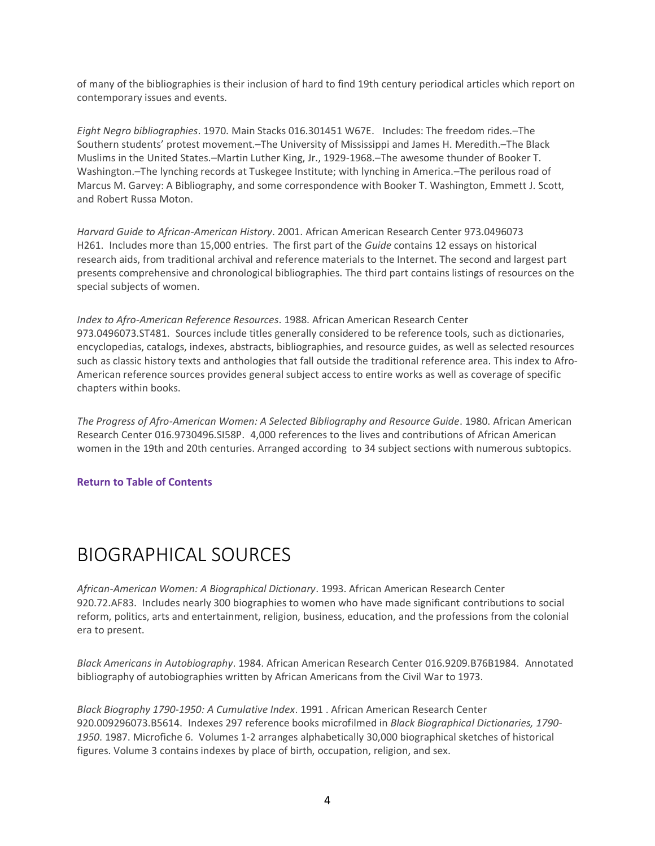<span id="page-3-0"></span>of many of the bibliographies is their inclusion of hard to find 19th century periodical articles which report on contemporary issues and events.

*Eight Negro bibliographies*. 1970. Main Stacks 016.301451 W67E. Includes: The freedom rides.–The Southern students' protest movement.–The University of Mississippi and James H. Meredith.–The Black Muslims in the United States.–Martin Luther King, Jr., 1929-1968.–The awesome thunder of Booker T. Washington.–The lynching records at Tuskegee Institute; with lynching in America.–The perilous road of Marcus M. Garvey: A Bibliography, and some correspondence with Booker T. Washington, Emmett J. Scott, and Robert Russa Moton.

*Harvard Guide to African-American History*. 2001. African American Research Center 973.0496073 H261. Includes more than 15,000 entries. The first part of the *Guide* contains 12 essays on historical research aids, from traditional archival and reference materials to the Internet. The second and largest part presents comprehensive and chronological bibliographies. The third part contains listings of resources on the special subjects of women.

*Index to Afro-American Reference Resources*. 1988. African American Research Center 973.0496073.ST481. Sources include titles generally considered to be reference tools, such as dictionaries, encyclopedias, catalogs, indexes, abstracts, bibliographies, and resource guides, as well as selected resources such as classic history texts and anthologies that fall outside the traditional reference area. This index to Afro-American reference sources provides general subject access to entire works as well as coverage of specific chapters within books.

*The Progress of Afro-American Women: A Selected Bibliography and Resource Guide*. 1980. African American Research Center 016.9730496.SI58P. 4,000 references to the lives and contributions of African American women in the 19th and 20th centuries. Arranged according to 34 subject sections with numerous subtopics.

### **[Return to Table of Contents](#page-1-0)**

### BIOGRAPHICAL SOURCES

*African-American Women: A Biographical Dictionary*. 1993. African American Research Center 920.72.AF83. Includes nearly 300 biographies to women who have made significant contributions to social reform, politics, arts and entertainment, religion, business, education, and the professions from the colonial era to present.

*Black Americans in Autobiography*. 1984. African American Research Center 016.9209.B76B1984. Annotated bibliography of autobiographies written by African Americans from the Civil War to 1973.

*Black Biography 1790-1950: A Cumulative Index*. 1991 . African American Research Center 920.009296073.B5614. Indexes 297 reference books microfilmed in *Black Biographical Dictionaries, 1790- 1950*. 1987. Microfiche 6. Volumes 1-2 arranges alphabetically 30,000 biographical sketches of historical figures. Volume 3 contains indexes by place of birth, occupation, religion, and sex.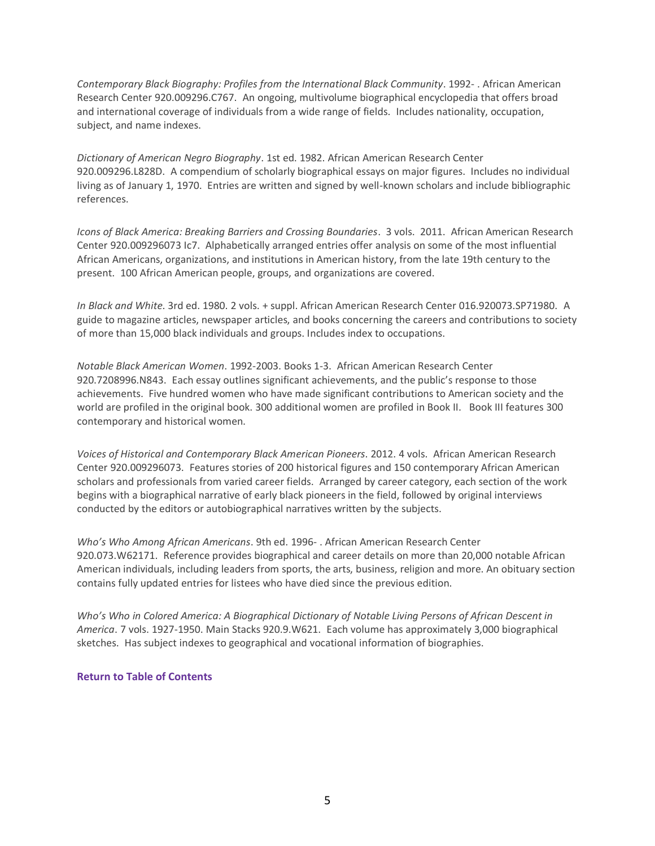*Contemporary Black Biography: Profiles from the International Black Community*. 1992- . African American Research Center 920.009296.C767. An ongoing, multivolume biographical encyclopedia that offers broad and international coverage of individuals from a wide range of fields. Includes nationality, occupation, subject, and name indexes.

*Dictionary of American Negro Biography*. 1st ed. 1982. African American Research Center 920.009296.L828D. A compendium of scholarly biographical essays on major figures. Includes no individual living as of January 1, 1970. Entries are written and signed by well-known scholars and include bibliographic references.

*Icons of Black America: Breaking Barriers and Crossing Boundaries*. 3 vols. 2011. African American Research Center 920.009296073 Ic7. Alphabetically arranged entries offer analysis on some of the most influential African Americans, organizations, and institutions in American history, from the late 19th century to the present. 100 African American people, groups, and organizations are covered.

*In Black and White*. 3rd ed. 1980. 2 vols. + suppl. African American Research Center 016.920073.SP71980. A guide to magazine articles, newspaper articles, and books concerning the careers and contributions to society of more than 15,000 black individuals and groups. Includes index to occupations.

*Notable Black American Women*. 1992-2003. Books 1-3. African American Research Center 920.7208996.N843. Each essay outlines significant achievements, and the public's response to those achievements. Five hundred women who have made significant contributions to American society and the world are profiled in the original book. 300 additional women are profiled in Book II. Book III features 300 contemporary and historical women.

*Voices of Historical and Contemporary Black American Pioneers*. 2012. 4 vols. African American Research Center 920.009296073. Features stories of 200 historical figures and 150 contemporary African American scholars and professionals from varied career fields. Arranged by career category, each section of the work begins with a biographical narrative of early black pioneers in the field, followed by original interviews conducted by the editors or autobiographical narratives written by the subjects.

*Who's Who Among African Americans*. 9th ed. 1996- . African American Research Center 920.073.W62171. Reference provides biographical and career details on more than 20,000 notable African American individuals, including leaders from sports, the arts, business, religion and more. An obituary section contains fully updated entries for listees who have died since the previous edition.

*Who's Who in Colored America: A Biographical Dictionary of Notable Living Persons of African Descent in America*. 7 vols. 1927-1950. Main Stacks 920.9.W621. Each volume has approximately 3,000 biographical sketches. Has subject indexes to geographical and vocational information of biographies.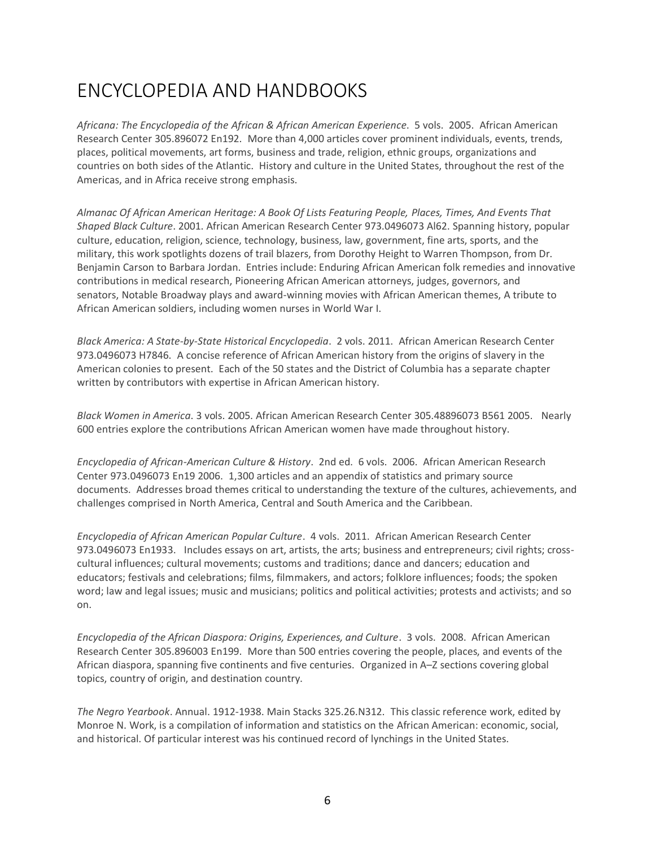# <span id="page-5-0"></span>ENCYCLOPEDIA AND HANDBOOKS

*Africana: The Encyclopedia of the African & African American Experience*. 5 vols. 2005. African American Research Center 305.896072 En192. More than 4,000 articles cover prominent individuals, events, trends, places, political movements, art forms, business and trade, religion, ethnic groups, organizations and countries on both sides of the Atlantic. History and culture in the United States, throughout the rest of the Americas, and in Africa receive strong emphasis.

*Almanac Of African American Heritage: A Book Of Lists Featuring People, Places, Times, And Events That Shaped Black Culture*. 2001. African American Research Center 973.0496073 Al62. Spanning history, popular culture, education, religion, science, technology, business, law, government, fine arts, sports, and the military, this work spotlights dozens of trail blazers, from Dorothy Height to Warren Thompson, from Dr. Benjamin Carson to Barbara Jordan. Entries include: Enduring African American folk remedies and innovative contributions in medical research, Pioneering African American attorneys, judges, governors, and senators, Notable Broadway plays and award-winning movies with African American themes, A tribute to African American soldiers, including women nurses in World War I.

*Black America: A State-by-State Historical Encyclopedia*. 2 vols. 2011. African American Research Center 973.0496073 H7846. A concise reference of African American history from the origins of slavery in the American colonies to present. Each of the 50 states and the District of Columbia has a separate chapter written by contributors with expertise in African American history.

*Black Women in America*. 3 vols. 2005. African American Research Center 305.48896073 B561 2005. Nearly 600 entries explore the contributions African American women have made throughout history.

*Encyclopedia of African-American Culture & History*. 2nd ed. 6 vols. 2006. African American Research Center 973.0496073 En19 2006. 1,300 articles and an appendix of statistics and primary source documents. Addresses broad themes critical to understanding the texture of the cultures, achievements, and challenges comprised in North America, Central and South America and the Caribbean.

*Encyclopedia of African American Popular Culture*. 4 vols. 2011. African American Research Center 973.0496073 En1933. Includes essays on art, artists, the arts; business and entrepreneurs; civil rights; crosscultural influences; cultural movements; customs and traditions; dance and dancers; education and educators; festivals and celebrations; films, filmmakers, and actors; folklore influences; foods; the spoken word; law and legal issues; music and musicians; politics and political activities; protests and activists; and so on.

*Encyclopedia of the African Diaspora: Origins, Experiences, and Culture*. 3 vols. 2008. African American Research Center 305.896003 En199. More than 500 entries covering the people, places, and events of the African diaspora, spanning five continents and five centuries. Organized in A–Z sections covering global topics, country of origin, and destination country.

*The Negro Yearbook*. Annual. 1912-1938. Main Stacks 325.26.N312. This classic reference work, edited by Monroe N. Work, is a compilation of information and statistics on the African American: economic, social, and historical. Of particular interest was his continued record of lynchings in the United States.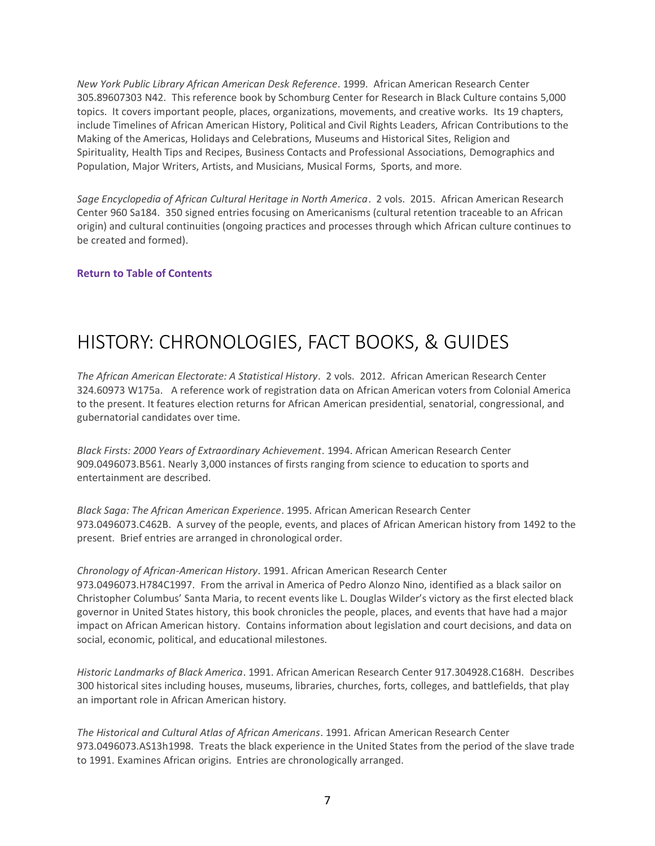<span id="page-6-0"></span>*New York Public Library African American Desk Reference*. 1999. African American Research Center 305.89607303 N42. This reference book by Schomburg Center for Research in Black Culture contains 5,000 topics. It covers important people, places, organizations, movements, and creative works. Its 19 chapters, include Timelines of African American History, Political and Civil Rights Leaders, African Contributions to the Making of the Americas, Holidays and Celebrations, Museums and Historical Sites, Religion and Spirituality, Health Tips and Recipes, Business Contacts and Professional Associations, Demographics and Population, Major Writers, Artists, and Musicians, Musical Forms, Sports, and more.

*Sage Encyclopedia of African Cultural Heritage in North America*. 2 vols. 2015. African American Research Center 960 Sa184. 350 signed entries focusing on Americanisms (cultural retention traceable to an African origin) and cultural continuities (ongoing practices and processes through which African culture continues to be created and formed).

### **[Return to Table of Contents](#page-1-0)**

### HISTORY: CHRONOLOGIES, FACT BOOKS, & GUIDES

*The African American Electorate: A Statistical History*. 2 vols. 2012. African American Research Center 324.60973 W175a. A reference work of registration data on African American voters from Colonial America to the present. It features election returns for African American presidential, senatorial, congressional, and gubernatorial candidates over time.

*Black Firsts: 2000 Years of Extraordinary Achievement*. 1994. African American Research Center 909.0496073.B561. Nearly 3,000 instances of firsts ranging from science to education to sports and entertainment are described.

*Black Saga: The African American Experience*. 1995. African American Research Center 973.0496073.C462B. A survey of the people, events, and places of African American history from 1492 to the present. Brief entries are arranged in chronological order.

### *Chronology of African-American History*. 1991. African American Research Center 973.0496073.H784C1997. From the arrival in America of Pedro Alonzo Nino, identified as a black sailor on Christopher Columbus' Santa Maria, to recent events like L. Douglas Wilder's victory as the first elected black governor in United States history, this book chronicles the people, places, and events that have had a major impact on African American history. Contains information about legislation and court decisions, and data on social, economic, political, and educational milestones.

*Historic Landmarks of Black America*. 1991. African American Research Center 917.304928.C168H. Describes 300 historical sites including houses, museums, libraries, churches, forts, colleges, and battlefields, that play an important role in African American history.

*The Historical and Cultural Atlas of African Americans*. 1991. African American Research Center 973.0496073.AS13h1998. Treats the black experience in the United States from the period of the slave trade to 1991. Examines African origins. Entries are chronologically arranged.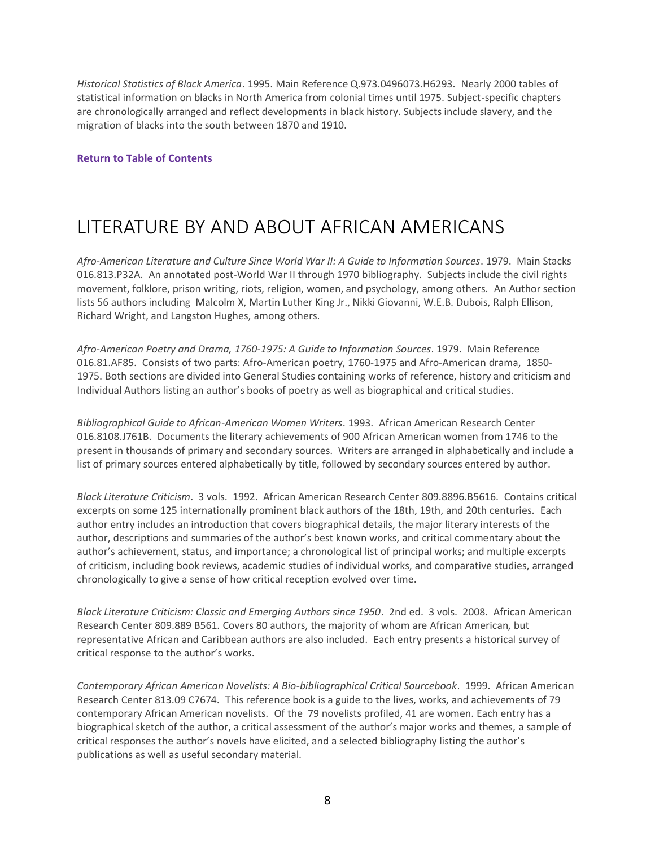<span id="page-7-0"></span>*Historical Statistics of Black America*. 1995. Main Reference Q.973.0496073.H6293. Nearly 2000 tables of statistical information on blacks in North America from colonial times until 1975. Subject-specific chapters are chronologically arranged and reflect developments in black history. Subjects include slavery, and the migration of blacks into the south between 1870 and 1910.

#### **[Return to Table of Contents](#page-1-0)**

### LITERATURE BY AND ABOUT AFRICAN AMERICANS

*Afro-American Literature and Culture Since World War II: A Guide to Information Sources*. 1979. Main Stacks 016.813.P32A. An annotated post-World War II through 1970 bibliography. Subjects include the civil rights movement, folklore, prison writing, riots, religion, women, and psychology, among others. An Author section lists 56 authors including Malcolm X, Martin Luther King Jr., Nikki Giovanni, W.E.B. Dubois, Ralph Ellison, Richard Wright, and Langston Hughes, among others.

*Afro-American Poetry and Drama, 1760-1975: A Guide to Information Sources*. 1979. Main Reference 016.81.AF85. Consists of two parts: Afro-American poetry, 1760-1975 and Afro-American drama, 1850- 1975. Both sections are divided into General Studies containing works of reference, history and criticism and Individual Authors listing an author's books of poetry as well as biographical and critical studies.

*Bibliographical Guide to African-American Women Writers*. 1993. African American Research Center 016.8108.J761B. Documents the literary achievements of 900 African American women from 1746 to the present in thousands of primary and secondary sources. Writers are arranged in alphabetically and include a list of primary sources entered alphabetically by title, followed by secondary sources entered by author.

*Black Literature Criticism*. 3 vols. 1992. African American Research Center 809.8896.B5616. Contains critical excerpts on some 125 internationally prominent black authors of the 18th, 19th, and 20th centuries. Each author entry includes an introduction that covers biographical details, the major literary interests of the author, descriptions and summaries of the author's best known works, and critical commentary about the author's achievement, status, and importance; a chronological list of principal works; and multiple excerpts of criticism, including book reviews, academic studies of individual works, and comparative studies, arranged chronologically to give a sense of how critical reception evolved over time.

*Black Literature Criticism: Classic and Emerging Authors since 1950*. 2nd ed. 3 vols. 2008. African American Research Center 809.889 B561. Covers 80 authors, the majority of whom are African American, but representative African and Caribbean authors are also included. Each entry presents a historical survey of critical response to the author's works.

*Contemporary African American Novelists: A Bio-bibliographical Critical Sourcebook*. 1999. African American Research Center 813.09 C7674. This reference book is a guide to the lives, works, and achievements of 79 contemporary African American novelists. Of the 79 novelists profiled, 41 are women. Each entry has a biographical sketch of the author, a critical assessment of the author's major works and themes, a sample of critical responses the author's novels have elicited, and a selected bibliography listing the author's publications as well as useful secondary material.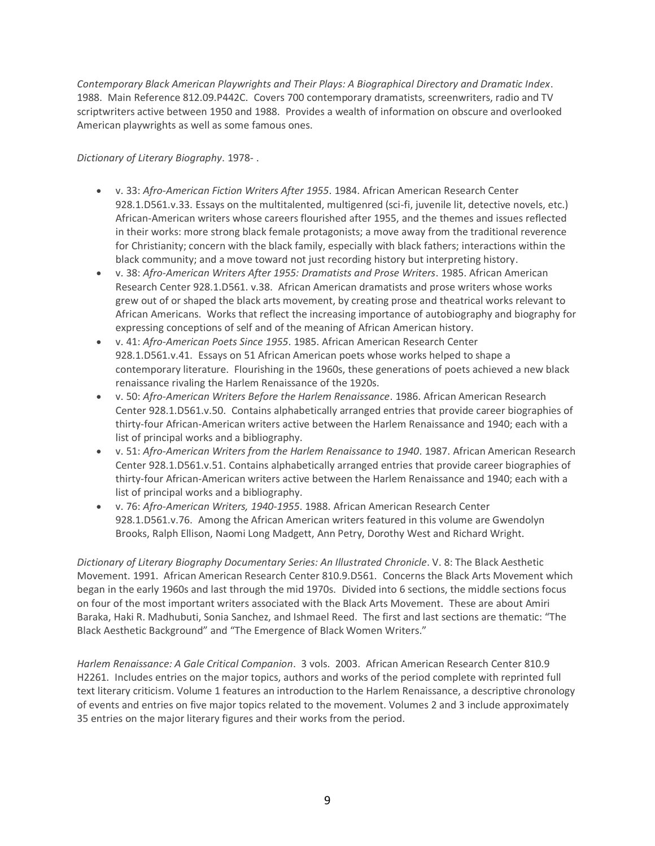*Contemporary Black American Playwrights and Their Plays: A Biographical Directory and Dramatic Index*. 1988. Main Reference 812.09.P442C. Covers 700 contemporary dramatists, screenwriters, radio and TV scriptwriters active between 1950 and 1988. Provides a wealth of information on obscure and overlooked American playwrights as well as some famous ones.

### *Dictionary of Literary Biography*. 1978- .

- v. 33: *Afro-American Fiction Writers After 1955*. 1984. African American Research Center 928.1.D561.v.33. Essays on the multitalented, multigenred (sci-fi, juvenile lit, detective novels, etc.) African-American writers whose careers flourished after 1955, and the themes and issues reflected in their works: more strong black female protagonists; a move away from the traditional reverence for Christianity; concern with the black family, especially with black fathers; interactions within the black community; and a move toward not just recording history but interpreting history.
- v. 38: *Afro-American Writers After 1955: Dramatists and Prose Writers*. 1985. African American Research Center 928.1.D561. v.38. African American dramatists and prose writers whose works grew out of or shaped the black arts movement, by creating prose and theatrical works relevant to African Americans. Works that reflect the increasing importance of autobiography and biography for expressing conceptions of self and of the meaning of African American history.
- v. 41: *Afro-American Poets Since 1955*. 1985. African American Research Center 928.1.D561.v.41. Essays on 51 African American poets whose works helped to shape a contemporary literature. Flourishing in the 1960s, these generations of poets achieved a new black renaissance rivaling the Harlem Renaissance of the 1920s.
- v. 50: *Afro-American Writers Before the Harlem Renaissance*. 1986. African American Research Center 928.1.D561.v.50. Contains alphabetically arranged entries that provide career biographies of thirty-four African-American writers active between the Harlem Renaissance and 1940; each with a list of principal works and a bibliography.
- v. 51: *Afro-American Writers from the Harlem Renaissance to 1940*. 1987. African American Research Center 928.1.D561.v.51. Contains alphabetically arranged entries that provide career biographies of thirty-four African-American writers active between the Harlem Renaissance and 1940; each with a list of principal works and a bibliography.
- v. 76: *Afro-American Writers, 1940-1955*. 1988. African American Research Center 928.1.D561.v.76. Among the African American writers featured in this volume are Gwendolyn Brooks, Ralph Ellison, Naomi Long Madgett, Ann Petry, Dorothy West and Richard Wright.

*Dictionary of Literary Biography Documentary Series: An Illustrated Chronicle*. V. 8: The Black Aesthetic Movement. 1991. African American Research Center 810.9.D561. Concerns the Black Arts Movement which began in the early 1960s and last through the mid 1970s. Divided into 6 sections, the middle sections focus on four of the most important writers associated with the Black Arts Movement. These are about Amiri Baraka, Haki R. Madhubuti, Sonia Sanchez, and Ishmael Reed. The first and last sections are thematic: "The Black Aesthetic Background" and "The Emergence of Black Women Writers."

*Harlem Renaissance: A Gale Critical Companion*. 3 vols. 2003. African American Research Center 810.9 H2261. Includes entries on the major topics, authors and works of the period complete with reprinted full text literary criticism. Volume 1 features an introduction to the Harlem Renaissance, a descriptive chronology of events and entries on five major topics related to the movement. Volumes 2 and 3 include approximately 35 entries on the major literary figures and their works from the period.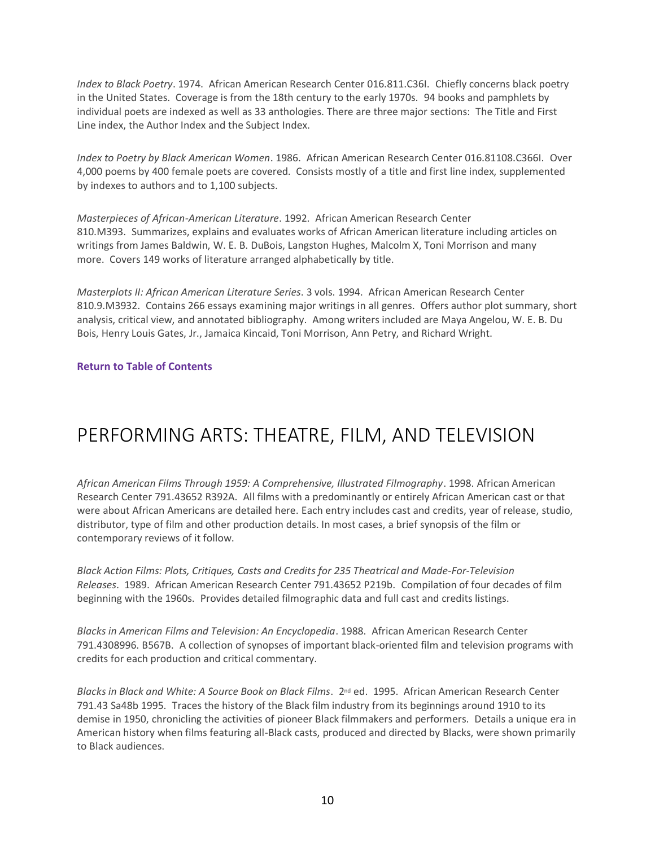<span id="page-9-0"></span>*Index to Black Poetry*. 1974. African American Research Center 016.811.C36I. Chiefly concerns black poetry in the United States. Coverage is from the 18th century to the early 1970s. 94 books and pamphlets by individual poets are indexed as well as 33 anthologies. There are three major sections: The Title and First Line index, the Author Index and the Subject Index.

*Index to Poetry by Black American Women*. 1986. African American Research Center 016.81108.C366I. Over 4,000 poems by 400 female poets are covered. Consists mostly of a title and first line index, supplemented by indexes to authors and to 1,100 subjects.

*Masterpieces of African-American Literature*. 1992. African American Research Center 810.M393. Summarizes, explains and evaluates works of African American literature including articles on writings from James Baldwin, W. E. B. DuBois, Langston Hughes, Malcolm X, Toni Morrison and many more. Covers 149 works of literature arranged alphabetically by title.

*Masterplots II: African American Literature Series*. 3 vols. 1994. African American Research Center 810.9.M3932. Contains 266 essays examining major writings in all genres. Offers author plot summary, short analysis, critical view, and annotated bibliography. Among writers included are Maya Angelou, W. E. B. Du Bois, Henry Louis Gates, Jr., Jamaica Kincaid, Toni Morrison, Ann Petry, and Richard Wright.

**[Return to Table of Contents](#page-1-0)**

## PERFORMING ARTS: THEATRE, FILM, AND TELEVISION

*African American Films Through 1959: A Comprehensive, Illustrated Filmography*. 1998. African American Research Center 791.43652 R392A. All films with a predominantly or entirely African American cast or that were about African Americans are detailed here. Each entry includes cast and credits, year of release, studio, distributor, type of film and other production details. In most cases, a brief synopsis of the film or contemporary reviews of it follow.

*Black Action Films: Plots, Critiques, Casts and Credits for 235 Theatrical and Made-For-Television Releases*. 1989. African American Research Center 791.43652 P219b. Compilation of four decades of film beginning with the 1960s. Provides detailed filmographic data and full cast and credits listings.

*Blacks in American Films and Television: An Encyclopedia*. 1988. African American Research Center 791.4308996. B567B. A collection of synopses of important black-oriented film and television programs with credits for each production and critical commentary.

*Blacks in Black and White: A Source Book on Black Films*. 2nd ed. 1995. African American Research Center 791.43 Sa48b 1995. Traces the history of the Black film industry from its beginnings around 1910 to its demise in 1950, chronicling the activities of pioneer Black filmmakers and performers. Details a unique era in American history when films featuring all-Black casts, produced and directed by Blacks, were shown primarily to Black audiences.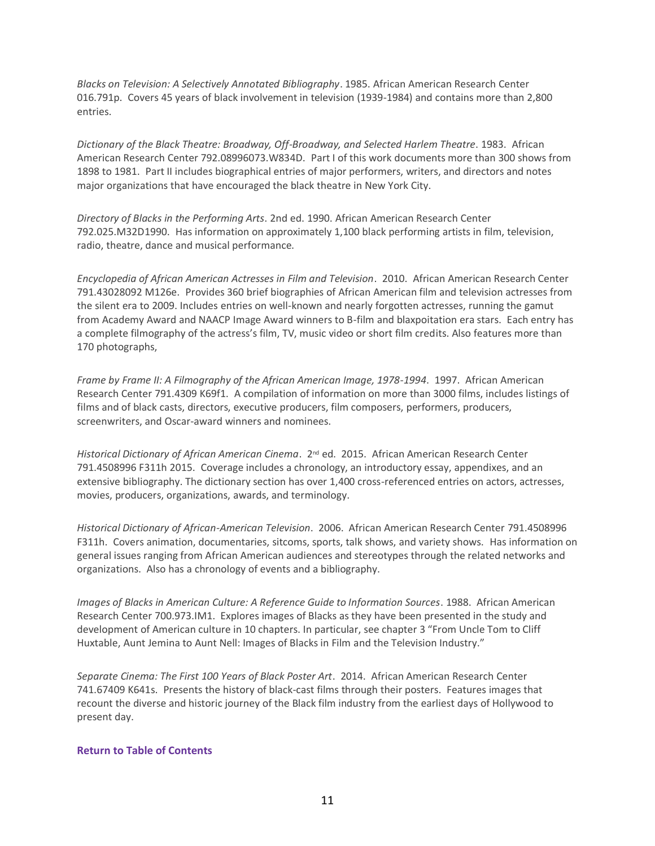*Blacks on Television: A Selectively Annotated Bibliography*. 1985. African American Research Center 016.791p. Covers 45 years of black involvement in television (1939-1984) and contains more than 2,800 entries.

*Dictionary of the Black Theatre: Broadway, Off-Broadway, and Selected Harlem Theatre*. 1983. African American Research Center 792.08996073.W834D. Part I of this work documents more than 300 shows from 1898 to 1981. Part II includes biographical entries of major performers, writers, and directors and notes major organizations that have encouraged the black theatre in New York City.

*Directory of Blacks in the Performing Arts*. 2nd ed. 1990. African American Research Center 792.025.M32D1990. Has information on approximately 1,100 black performing artists in film, television, radio, theatre, dance and musical performance.

*Encyclopedia of African American Actresses in Film and Television*. 2010. African American Research Center 791.43028092 M126e. Provides 360 brief biographies of African American film and television actresses from the silent era to 2009. Includes entries on well-known and nearly forgotten actresses, running the gamut from Academy Award and NAACP Image Award winners to B-film and blaxpoitation era stars. Each entry has a complete filmography of the actress's film, TV, music video or short film credits. Also features more than 170 photographs,

*Frame by Frame II: A Filmography of the African American Image, 1978-1994*. 1997. African American Research Center 791.4309 K69f1. A compilation of information on more than 3000 films, includes listings of films and of black casts, directors, executive producers, film composers, performers, producers, screenwriters, and Oscar-award winners and nominees.

*Historical Dictionary of African American Cinema*. 2nd ed. 2015. African American Research Center 791.4508996 F311h 2015. Coverage includes a chronology, an introductory essay, appendixes, and an extensive bibliography. The dictionary section has over 1,400 cross-referenced entries on actors, actresses, movies, producers, organizations, awards, and terminology.

*Historical Dictionary of African-American Television*. 2006. African American Research Center 791.4508996 F311h. Covers animation, documentaries, sitcoms, sports, talk shows, and variety shows. Has information on general issues ranging from African American audiences and stereotypes through the related networks and organizations. Also has a chronology of events and a bibliography.

*Images of Blacks in American Culture: A Reference Guide to Information Sources*. 1988. African American Research Center 700.973.IM1. Explores images of Blacks as they have been presented in the study and development of American culture in 10 chapters. In particular, see chapter 3 "From Uncle Tom to Cliff Huxtable, Aunt Jemina to Aunt Nell: Images of Blacks in Film and the Television Industry."

*Separate Cinema: The First 100 Years of Black Poster Art*. 2014. African American Research Center 741.67409 K641s. Presents the history of black-cast films through their posters. Features images that recount the diverse and historic journey of the Black film industry from the earliest days of Hollywood to present day.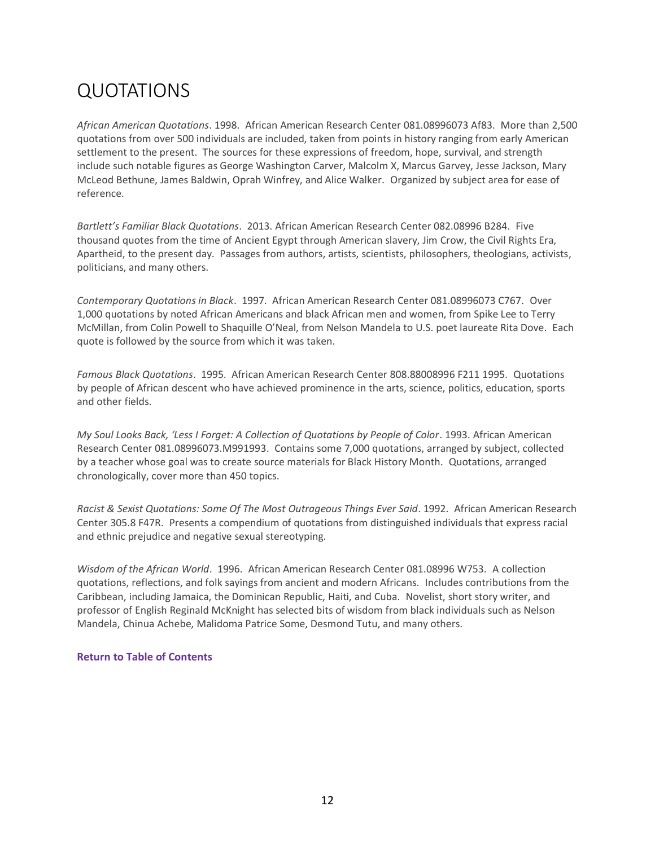# <span id="page-11-0"></span>QUOTATIONS

*African American Quotations*. 1998. African American Research Center 081.08996073 Af83. More than 2,500 quotations from over 500 individuals are included, taken from points in history ranging from early American settlement to the present. The sources for these expressions of freedom, hope, survival, and strength include such notable figures as George Washington Carver, Malcolm X, Marcus Garvey, Jesse Jackson, Mary McLeod Bethune, James Baldwin, Oprah Winfrey, and Alice Walker. Organized by subject area for ease of reference.

*Bartlett's Familiar Black Quotations*. 2013. African American Research Center 082.08996 B284. Five thousand quotes from the time of Ancient Egypt through American slavery, Jim Crow, the Civil Rights Era, Apartheid, to the present day. Passages from authors, artists, scientists, philosophers, theologians, activists, politicians, and many others.

*Contemporary Quotations in Black*. 1997. African American Research Center 081.08996073 C767. Over 1,000 quotations by noted African Americans and black African men and women, from Spike Lee to Terry McMillan, from Colin Powell to Shaquille O'Neal, from Nelson Mandela to U.S. poet laureate Rita Dove. Each quote is followed by the source from which it was taken.

*Famous Black Quotations*. 1995. African American Research Center 808.88008996 F211 1995. Quotations by people of African descent who have achieved prominence in the arts, science, politics, education, sports and other fields.

*My Soul Looks Back, 'Less I Forget: A Collection of Quotations by People of Color*. 1993. African American Research Center 081.08996073.M991993. Contains some 7,000 quotations, arranged by subject, collected by a teacher whose goal was to create source materials for Black History Month. Quotations, arranged chronologically, cover more than 450 topics.

*Racist & Sexist Quotations: Some Of The Most Outrageous Things Ever Said*. 1992. African American Research Center 305.8 F47R. Presents a compendium of quotations from distinguished individuals that express racial and ethnic prejudice and negative sexual stereotyping.

*Wisdom of the African World*. 1996. African American Research Center 081.08996 W753. A collection quotations, reflections, and folk sayings from ancient and modern Africans. Includes contributions from the Caribbean, including Jamaica, the Dominican Republic, Haiti, and Cuba. Novelist, short story writer, and professor of English Reginald McKnight has selected bits of wisdom from black individuals such as Nelson Mandela, Chinua Achebe, Malidoma Patrice Some, Desmond Tutu, and many others.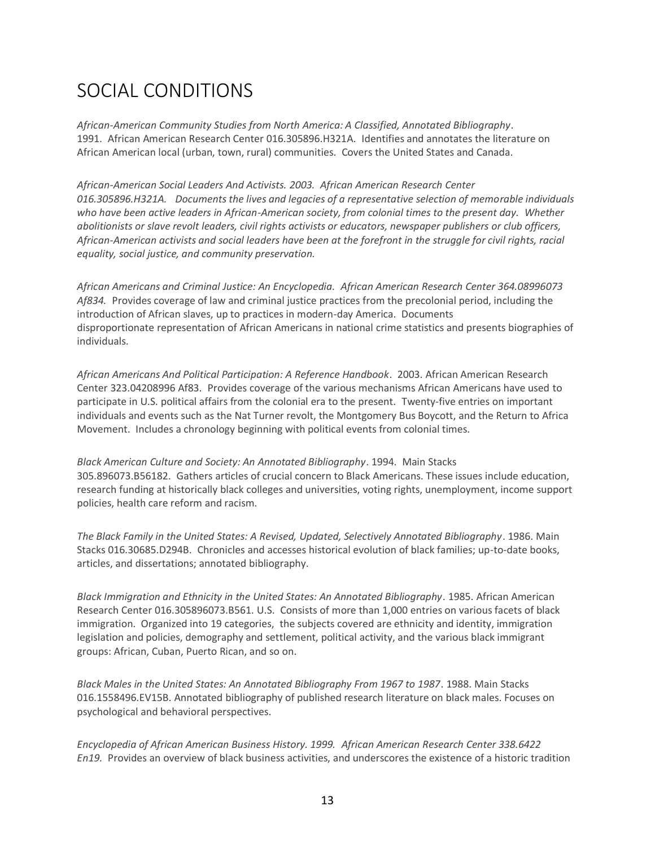# <span id="page-12-0"></span>SOCIAL CONDITIONS

*African-American Community Studies from North America: A Classified, Annotated Bibliography*. 1991. African American Research Center 016.305896.H321A. Identifies and annotates the literature on African American local (urban, town, rural) communities. Covers the United States and Canada.

*African-American Social Leaders And Activists. 2003. African American Research Center 016.305896.H321A. Documents the lives and legacies of a representative selection of memorable individuals who have been active leaders in African-American society, from colonial times to the present day. Whether abolitionists or slave revolt leaders, civil rights activists or educators, newspaper publishers or club officers, African-American activists and social leaders have been at the forefront in the struggle for civil rights, racial equality, social justice, and community preservation.*

*African Americans and Criminal Justice: An Encyclopedia. African American Research Center 364.08996073 Af834.* Provides coverage of law and criminal justice practices from the precolonial period, including the introduction of African slaves, up to practices in modern-day America. Documents disproportionate representation of African Americans in national crime statistics and presents biographies of individuals.

*African Americans And Political Participation: A Reference Handbook*. 2003. African American Research Center 323.04208996 Af83. Provides coverage of the various mechanisms African Americans have used to participate in U.S. political affairs from the colonial era to the present. Twenty-five entries on important individuals and events such as the Nat Turner revolt, the Montgomery Bus Boycott, and the Return to Africa Movement. Includes a chronology beginning with political events from colonial times.

*Black American Culture and Society: An Annotated Bibliography*. 1994. Main Stacks 305.896073.B56182. Gathers articles of crucial concern to Black Americans. These issues include education, research funding at historically black colleges and universities, voting rights, unemployment, income support policies, health care reform and racism.

*The Black Family in the United States: A Revised, Updated, Selectively Annotated Bibliography*. 1986. Main Stacks 016.30685.D294B. Chronicles and accesses historical evolution of black families; up-to-date books, articles, and dissertations; annotated bibliography.

*Black Immigration and Ethnicity in the United States: An Annotated Bibliography*. 1985. African American Research Center 016.305896073.B561. U.S. Consists of more than 1,000 entries on various facets of black immigration. Organized into 19 categories, the subjects covered are ethnicity and identity, immigration legislation and policies, demography and settlement, political activity, and the various black immigrant groups: African, Cuban, Puerto Rican, and so on.

*Black Males in the United States: An Annotated Bibliography From 1967 to 1987*. 1988. Main Stacks 016.1558496.EV15B. Annotated bibliography of published research literature on black males. Focuses on psychological and behavioral perspectives.

*Encyclopedia of African American Business History. 1999. African American Research Center 338.6422 En19.* Provides an overview of black business activities, and underscores the existence of a historic tradition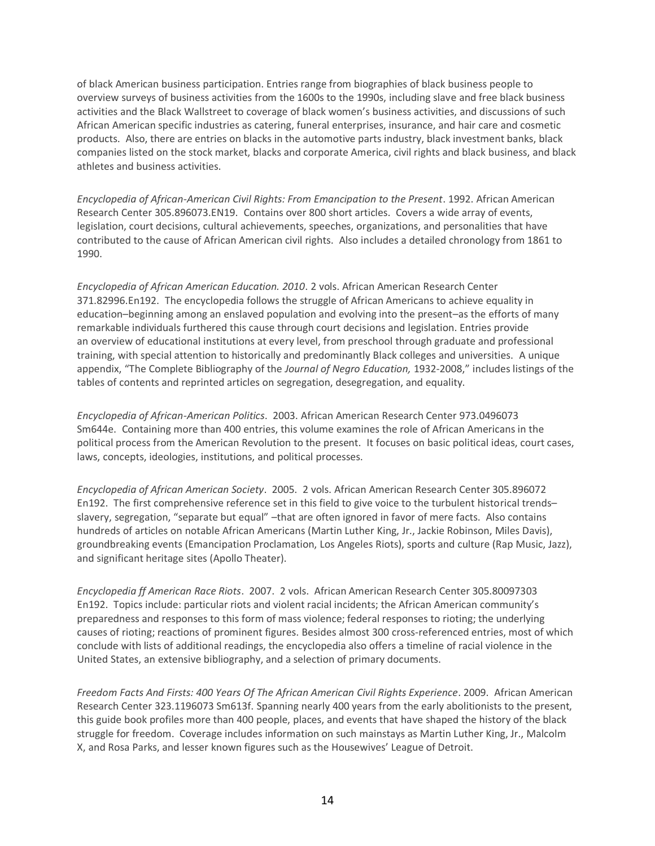of black American business participation. Entries range from biographies of black business people to overview surveys of business activities from the 1600s to the 1990s, including slave and free black business activities and the Black Wallstreet to coverage of black women's business activities, and discussions of such African American specific industries as catering, funeral enterprises, insurance, and hair care and cosmetic products. Also, there are entries on blacks in the automotive parts industry, black investment banks, black companies listed on the stock market, blacks and corporate America, civil rights and black business, and black athletes and business activities.

*Encyclopedia of African-American Civil Rights: From Emancipation to the Present*. 1992. African American Research Center 305.896073.EN19. Contains over 800 short articles. Covers a wide array of events, legislation, court decisions, cultural achievements, speeches, organizations, and personalities that have contributed to the cause of African American civil rights. Also includes a detailed chronology from 1861 to 1990.

*Encyclopedia of African American Education. 2010*. 2 vols. African American Research Center 371.82996.En192. The encyclopedia follows the struggle of African Americans to achieve equality in education–beginning among an enslaved population and evolving into the present–as the efforts of many remarkable individuals furthered this cause through court decisions and legislation. Entries provide an overview of educational institutions at every level, from preschool through graduate and professional training, with special attention to historically and predominantly Black colleges and universities. A unique appendix, "The Complete Bibliography of the *Journal of Negro Education,* 1932-2008," includes listings of the tables of contents and reprinted articles on segregation, desegregation, and equality.

*Encyclopedia of African-American Politics*. 2003. African American Research Center 973.0496073 Sm644e. Containing more than 400 entries, this volume examines the role of African Americans in the political process from the American Revolution to the present. It focuses on basic political ideas, court cases, laws, concepts, ideologies, institutions, and political processes.

*Encyclopedia of African American Society*. 2005. 2 vols. African American Research Center 305.896072 En192. The first comprehensive reference set in this field to give voice to the turbulent historical trends– slavery, segregation, "separate but equal" –that are often ignored in favor of mere facts. Also contains hundreds of articles on notable African Americans (Martin Luther King, Jr., Jackie Robinson, Miles Davis), groundbreaking events (Emancipation Proclamation, Los Angeles Riots), sports and culture (Rap Music, Jazz), and significant heritage sites (Apollo Theater).

*Encyclopedia ff American Race Riots*. 2007. 2 vols. African American Research Center 305.80097303 En192. Topics include: particular riots and violent racial incidents; the African American community's preparedness and responses to this form of mass violence; federal responses to rioting; the underlying causes of rioting; reactions of prominent figures. Besides almost 300 cross-referenced entries, most of which conclude with lists of additional readings, the encyclopedia also offers a timeline of racial violence in the United States, an extensive bibliography, and a selection of primary documents.

*Freedom Facts And Firsts: 400 Years Of The African American Civil Rights Experience*. 2009. African American Research Center 323.1196073 Sm613f. Spanning nearly 400 years from the early abolitionists to the present, this guide book profiles more than 400 people, places, and events that have shaped the history of the black struggle for freedom. Coverage includes information on such mainstays as Martin Luther King, Jr., Malcolm X, and Rosa Parks, and lesser known figures such as the Housewives' League of Detroit.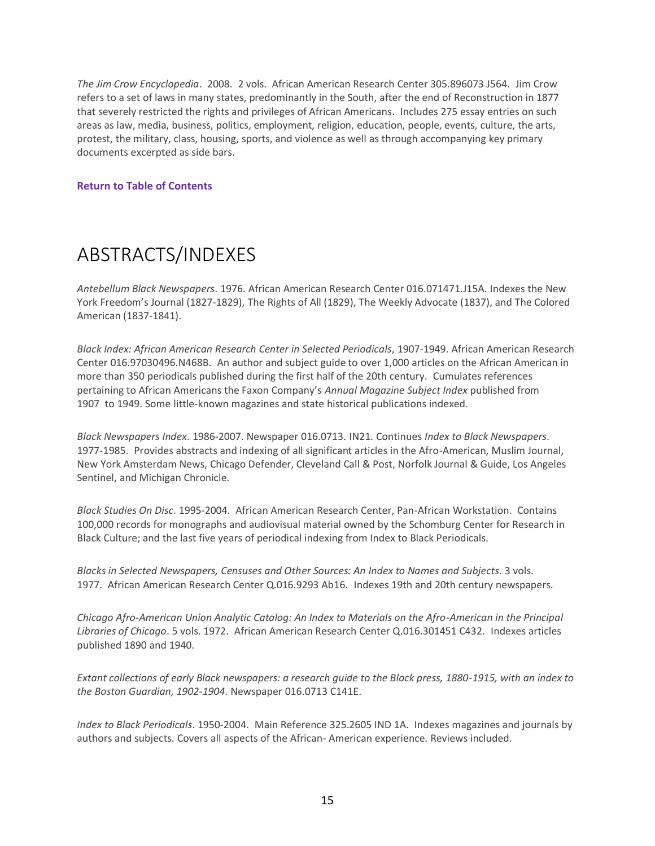<span id="page-14-0"></span>*The Jim Crow Encyclopedia*. 2008. 2 vols. African American Research Center 305.896073 J564. Jim Crow refers to a set of laws in many states, predominantly in the South, after the end of Reconstruction in 1877 that severely restricted the rights and privileges of African Americans. Includes 275 essay entries on such areas as law, media, business, politics, employment, religion, education, people, events, culture, the arts, protest, the military, class, housing, sports, and violence as well as through accompanying key primary documents excerpted as side bars.

#### **[Return to Table of Contents](#page-1-0)**

### ABSTRACTS/INDEXES

*Antebellum Black Newspapers*. 1976. African American Research Center 016.071471.J15A. Indexes the New York Freedom's Journal (1827-1829), The Rights of All (1829), The Weekly Advocate (1837), and The Colored American (1837-1841).

*Black Index: African American Research Center in Selected Periodicals*, 1907-1949. African American Research Center 016.97030496.N468B. An author and subject guide to over 1,000 articles on the African American in more than 350 periodicals published during the first half of the 20th century. Cumulates references pertaining to African Americans the Faxon Company's *Annual Magazine Subject Index* published from 1907 to 1949. Some little-known magazines and state historical publications indexed.

*Black Newspapers Index*. 1986-2007. Newspaper 016.0713. IN21. Continues *Index to Black Newspapers*. 1977-1985. Provides abstracts and indexing of all significant articles in the Afro-American, Muslim Journal, New York Amsterdam News, Chicago Defender, Cleveland Call & Post, Norfolk Journal & Guide, Los Angeles Sentinel, and Michigan Chronicle.

*Black Studies On Disc*. 1995-2004. African American Research Center, Pan-African Workstation. Contains 100,000 records for monographs and audiovisual material owned by the Schomburg Center for Research in Black Culture; and the last five years of periodical indexing from Index to Black Periodicals.

*Blacks in Selected Newspapers, Censuses and Other Sources: An Index to Names and Subjects*. 3 vols. 1977. African American Research Center Q.016.9293 Ab16. Indexes 19th and 20th century newspapers.

*Chicago Afro-American Union Analytic Catalog: An Index to Materials on the Afro-American in the Principal Libraries of Chicago*. 5 vols. 1972. African American Research Center Q.016.301451 C432. Indexes articles published 1890 and 1940.

*Extant collections of early Black newspapers: a research guide to the Black press, 1880-1915, with an index to the Boston Guardian, 1902-1904*. Newspaper 016.0713 C141E.

*Index to Black Periodicals*. 1950-2004. Main Reference 325.2605 IND 1A. Indexes magazines and journals by authors and subjects. Covers all aspects of the African- American experience. Reviews included.